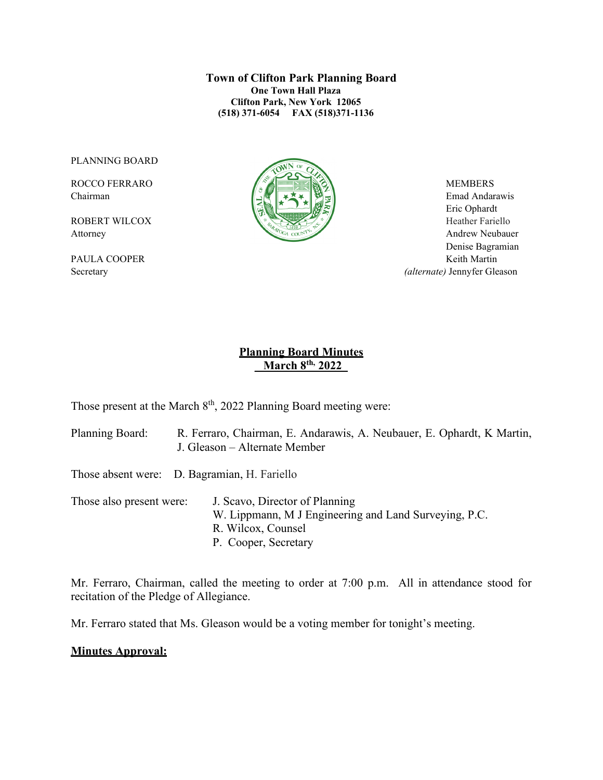**Town of Clifton Park Planning Board One Town Hall Plaza Clifton Park, New York 12065 (518) 371-6054 FAX (518)371-1136**

PLANNING BOARD



Chairman Emad Andarawis  $\left[\begin{array}{c|c} \Delta \end{array}\right]$   $\rightarrow \infty$   $\left[\begin{array}{c|c} \Delta \end{array}\right]$  Emad Andarawis Eric Ophardt Attorney Andrew Neubauer Denise Bagramian PAULA COOPER Keith Martin Secretary *(alternate)* Jennyfer Gleason

## **Planning Board Minutes \_ March 8th, 2022\_**

Those present at the March  $8<sup>th</sup>$ , 2022 Planning Board meeting were:

- Planning Board: R. Ferraro, Chairman, E. Andarawis, A. Neubauer, E. Ophardt, K Martin, J. Gleason – Alternate Member
- Those absent were: D. Bagramian, H. Fariello

Those also present were: J. Scavo, Director of Planning W. Lippmann, M J Engineering and Land Surveying, P.C. R. Wilcox, Counsel P. Cooper, Secretary

Mr. Ferraro, Chairman, called the meeting to order at 7:00 p.m. All in attendance stood for recitation of the Pledge of Allegiance.

Mr. Ferraro stated that Ms. Gleason would be a voting member for tonight's meeting.

#### **Minutes Approval:**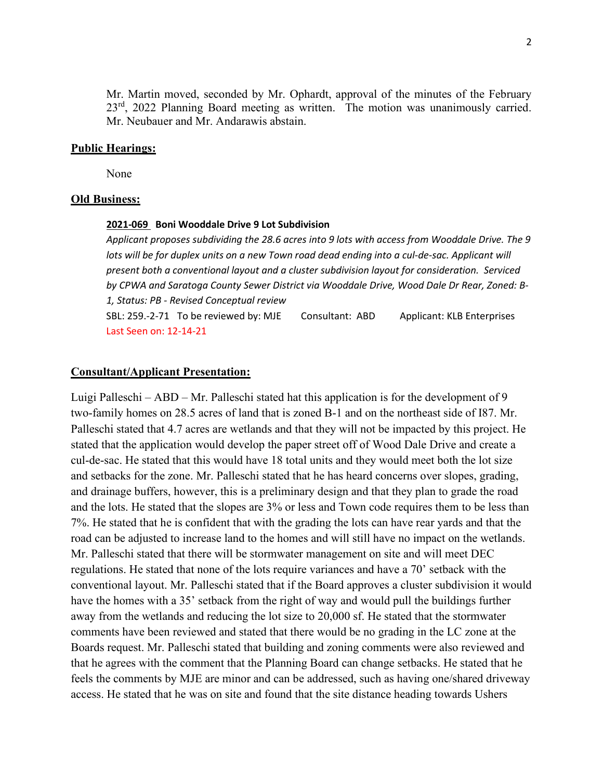Mr. Martin moved, seconded by Mr. Ophardt, approval of the minutes of the February  $23<sup>rd</sup>$ , 2022 Planning Board meeting as written. The motion was unanimously carried. Mr. Neubauer and Mr. Andarawis abstain.

#### **Public Hearings:**

None

#### **Old Business:**

#### **2021-069 Boni Wooddale Drive 9 Lot Subdivision**

*Applicant proposes subdividing the 28.6 acres into 9 lots with access from Wooddale Drive. The 9 lots will be for duplex units on a new Town road dead ending into a cul-de-sac. Applicant will present both a conventional layout and a cluster subdivision layout for consideration. Serviced by CPWA and Saratoga County Sewer District via Wooddale Drive, Wood Dale Dr Rear, Zoned: B-1, Status: PB - Revised Conceptual review*  SBL: 259.-2-71 To be reviewed by: MJE Consultant: ABD Applicant: KLB Enterprises Last Seen on: 12-14-21

#### **Consultant/Applicant Presentation:**

Luigi Palleschi – ABD – Mr. Palleschi stated hat this application is for the development of 9 two-family homes on 28.5 acres of land that is zoned B-1 and on the northeast side of I87. Mr. Palleschi stated that 4.7 acres are wetlands and that they will not be impacted by this project. He stated that the application would develop the paper street off of Wood Dale Drive and create a cul-de-sac. He stated that this would have 18 total units and they would meet both the lot size and setbacks for the zone. Mr. Palleschi stated that he has heard concerns over slopes, grading, and drainage buffers, however, this is a preliminary design and that they plan to grade the road and the lots. He stated that the slopes are 3% or less and Town code requires them to be less than 7%. He stated that he is confident that with the grading the lots can have rear yards and that the road can be adjusted to increase land to the homes and will still have no impact on the wetlands. Mr. Palleschi stated that there will be stormwater management on site and will meet DEC regulations. He stated that none of the lots require variances and have a 70' setback with the conventional layout. Mr. Palleschi stated that if the Board approves a cluster subdivision it would have the homes with a 35' setback from the right of way and would pull the buildings further away from the wetlands and reducing the lot size to 20,000 sf. He stated that the stormwater comments have been reviewed and stated that there would be no grading in the LC zone at the Boards request. Mr. Palleschi stated that building and zoning comments were also reviewed and that he agrees with the comment that the Planning Board can change setbacks. He stated that he feels the comments by MJE are minor and can be addressed, such as having one/shared driveway access. He stated that he was on site and found that the site distance heading towards Ushers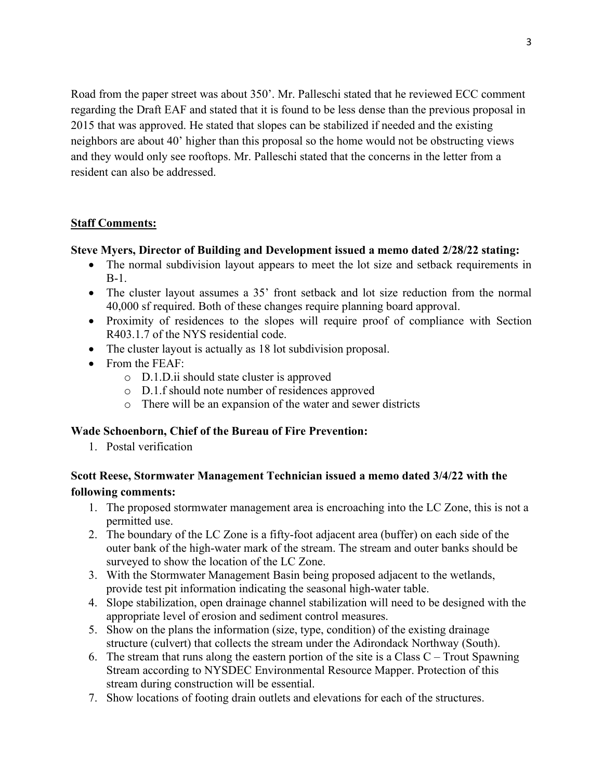Road from the paper street was about 350'. Mr. Palleschi stated that he reviewed ECC comment regarding the Draft EAF and stated that it is found to be less dense than the previous proposal in 2015 that was approved. He stated that slopes can be stabilized if needed and the existing neighbors are about 40' higher than this proposal so the home would not be obstructing views and they would only see rooftops. Mr. Palleschi stated that the concerns in the letter from a resident can also be addressed.

### **Staff Comments:**

#### **Steve Myers, Director of Building and Development issued a memo dated 2/28/22 stating:**

- The normal subdivision layout appears to meet the lot size and setback requirements in B-1.
- The cluster layout assumes a 35' front setback and lot size reduction from the normal 40,000 sf required. Both of these changes require planning board approval.
- Proximity of residences to the slopes will require proof of compliance with Section R403.1.7 of the NYS residential code.
- The cluster layout is actually as 18 lot subdivision proposal.
- From the FEAF:
	- o D.1.D.ii should state cluster is approved
	- o D.1.f should note number of residences approved
	- o There will be an expansion of the water and sewer districts

#### **Wade Schoenborn, Chief of the Bureau of Fire Prevention:**

1. Postal verification

## **Scott Reese, Stormwater Management Technician issued a memo dated 3/4/22 with the following comments:**

- 1. The proposed stormwater management area is encroaching into the LC Zone, this is not a permitted use.
- 2. The boundary of the LC Zone is a fifty-foot adjacent area (buffer) on each side of the outer bank of the high-water mark of the stream. The stream and outer banks should be surveyed to show the location of the LC Zone.
- 3. With the Stormwater Management Basin being proposed adjacent to the wetlands, provide test pit information indicating the seasonal high-water table.
- 4. Slope stabilization, open drainage channel stabilization will need to be designed with the appropriate level of erosion and sediment control measures.
- 5. Show on the plans the information (size, type, condition) of the existing drainage structure (culvert) that collects the stream under the Adirondack Northway (South).
- 6. The stream that runs along the eastern portion of the site is a Class  $C -$  Trout Spawning Stream according to NYSDEC Environmental Resource Mapper. Protection of this stream during construction will be essential.
- 7. Show locations of footing drain outlets and elevations for each of the structures.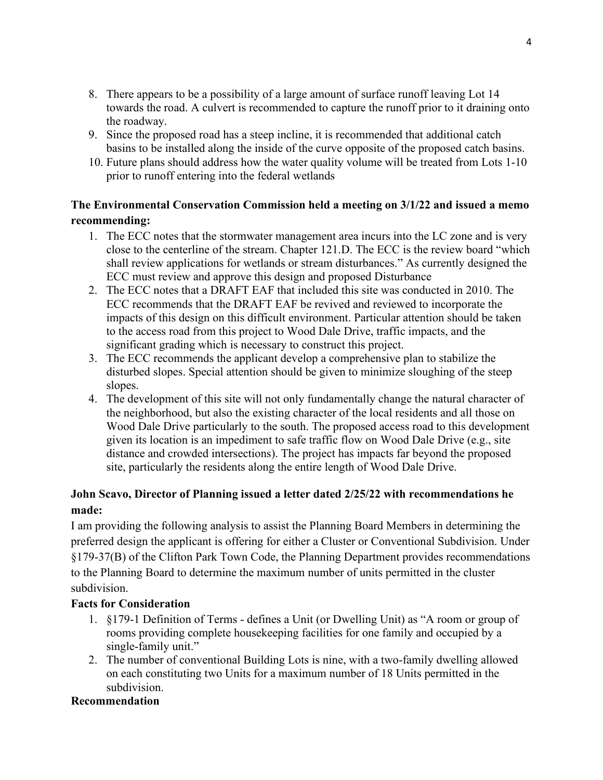- 8. There appears to be a possibility of a large amount of surface runoff leaving Lot 14 towards the road. A culvert is recommended to capture the runoff prior to it draining onto the roadway.
- 9. Since the proposed road has a steep incline, it is recommended that additional catch basins to be installed along the inside of the curve opposite of the proposed catch basins.
- 10. Future plans should address how the water quality volume will be treated from Lots 1-10 prior to runoff entering into the federal wetlands

# **The Environmental Conservation Commission held a meeting on 3/1/22 and issued a memo recommending:**

- 1. The ECC notes that the stormwater management area incurs into the LC zone and is very close to the centerline of the stream. Chapter 121.D. The ECC is the review board "which shall review applications for wetlands or stream disturbances." As currently designed the ECC must review and approve this design and proposed Disturbance
- 2. The ECC notes that a DRAFT EAF that included this site was conducted in 2010. The ECC recommends that the DRAFT EAF be revived and reviewed to incorporate the impacts of this design on this difficult environment. Particular attention should be taken to the access road from this project to Wood Dale Drive, traffic impacts, and the significant grading which is necessary to construct this project.
- 3. The ECC recommends the applicant develop a comprehensive plan to stabilize the disturbed slopes. Special attention should be given to minimize sloughing of the steep slopes.
- 4. The development of this site will not only fundamentally change the natural character of the neighborhood, but also the existing character of the local residents and all those on Wood Dale Drive particularly to the south. The proposed access road to this development given its location is an impediment to safe traffic flow on Wood Dale Drive (e.g., site distance and crowded intersections). The project has impacts far beyond the proposed site, particularly the residents along the entire length of Wood Dale Drive.

# **John Scavo, Director of Planning issued a letter dated 2/25/22 with recommendations he made:**

I am providing the following analysis to assist the Planning Board Members in determining the preferred design the applicant is offering for either a Cluster or Conventional Subdivision. Under §179-37(B) of the Clifton Park Town Code, the Planning Department provides recommendations to the Planning Board to determine the maximum number of units permitted in the cluster subdivision.

## **Facts for Consideration**

- 1. §179-1 Definition of Terms defines a Unit (or Dwelling Unit) as "A room or group of rooms providing complete housekeeping facilities for one family and occupied by a single-family unit."
- 2. The number of conventional Building Lots is nine, with a two-family dwelling allowed on each constituting two Units for a maximum number of 18 Units permitted in the subdivision.

## **Recommendation**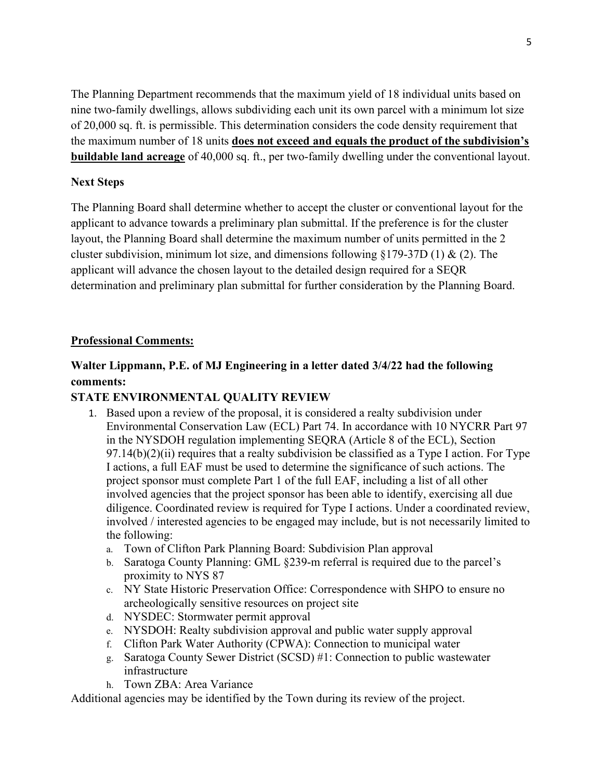The Planning Department recommends that the maximum yield of 18 individual units based on nine two-family dwellings, allows subdividing each unit its own parcel with a minimum lot size of 20,000 sq. ft. is permissible. This determination considers the code density requirement that the maximum number of 18 units **does not exceed and equals the product of the subdivision's buildable land acreage** of 40,000 sq. ft., per two-family dwelling under the conventional layout.

#### **Next Steps**

The Planning Board shall determine whether to accept the cluster or conventional layout for the applicant to advance towards a preliminary plan submittal. If the preference is for the cluster layout, the Planning Board shall determine the maximum number of units permitted in the 2 cluster subdivision, minimum lot size, and dimensions following  $\S179-37D(1)$  & (2). The applicant will advance the chosen layout to the detailed design required for a SEQR determination and preliminary plan submittal for further consideration by the Planning Board.

### **Professional Comments:**

# **Walter Lippmann, P.E. of MJ Engineering in a letter dated 3/4/22 had the following comments:**

#### **STATE ENVIRONMENTAL QUALITY REVIEW**

- 1. Based upon a review of the proposal, it is considered a realty subdivision under Environmental Conservation Law (ECL) Part 74. In accordance with 10 NYCRR Part 97 in the NYSDOH regulation implementing SEQRA (Article 8 of the ECL), Section  $97.14(b)(2)(ii)$  requires that a realty subdivision be classified as a Type I action. For Type I actions, a full EAF must be used to determine the significance of such actions. The project sponsor must complete Part 1 of the full EAF, including a list of all other involved agencies that the project sponsor has been able to identify, exercising all due diligence. Coordinated review is required for Type I actions. Under a coordinated review, involved / interested agencies to be engaged may include, but is not necessarily limited to the following:
	- a. Town of Clifton Park Planning Board: Subdivision Plan approval
	- b. Saratoga County Planning: GML §239-m referral is required due to the parcel's proximity to NYS 87
	- c. NY State Historic Preservation Office: Correspondence with SHPO to ensure no archeologically sensitive resources on project site
	- d. NYSDEC: Stormwater permit approval
	- e. NYSDOH: Realty subdivision approval and public water supply approval
	- f. Clifton Park Water Authority (CPWA): Connection to municipal water
	- g. Saratoga County Sewer District (SCSD) #1: Connection to public wastewater infrastructure
	- h. Town ZBA: Area Variance

Additional agencies may be identified by the Town during its review of the project.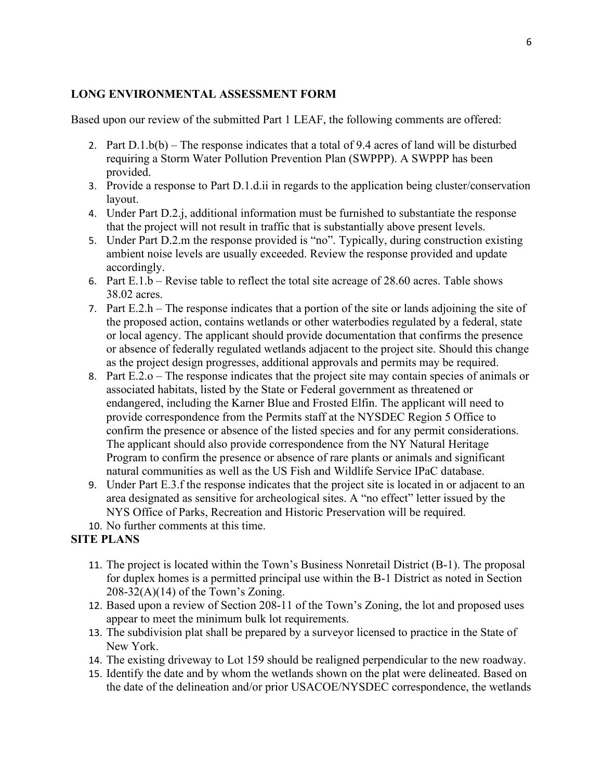#### **LONG ENVIRONMENTAL ASSESSMENT FORM**

Based upon our review of the submitted Part 1 LEAF, the following comments are offered:

- 2. Part  $D.1.b(b)$  The response indicates that a total of 9.4 acres of land will be disturbed requiring a Storm Water Pollution Prevention Plan (SWPPP). A SWPPP has been provided.
- 3. Provide a response to Part D.1.d.ii in regards to the application being cluster/conservation layout.
- 4. Under Part D.2.j, additional information must be furnished to substantiate the response that the project will not result in traffic that is substantially above present levels.
- 5. Under Part D.2.m the response provided is "no". Typically, during construction existing ambient noise levels are usually exceeded. Review the response provided and update accordingly.
- 6. Part E.1.b Revise table to reflect the total site acreage of 28.60 acres. Table shows 38.02 acres.
- 7. Part E.2.h The response indicates that a portion of the site or lands adjoining the site of the proposed action, contains wetlands or other waterbodies regulated by a federal, state or local agency. The applicant should provide documentation that confirms the presence or absence of federally regulated wetlands adjacent to the project site. Should this change as the project design progresses, additional approvals and permits may be required.
- 8. Part E.2.o The response indicates that the project site may contain species of animals or associated habitats, listed by the State or Federal government as threatened or endangered, including the Karner Blue and Frosted Elfin. The applicant will need to provide correspondence from the Permits staff at the NYSDEC Region 5 Office to confirm the presence or absence of the listed species and for any permit considerations. The applicant should also provide correspondence from the NY Natural Heritage Program to confirm the presence or absence of rare plants or animals and significant natural communities as well as the US Fish and Wildlife Service IPaC database.
- 9. Under Part E.3.f the response indicates that the project site is located in or adjacent to an area designated as sensitive for archeological sites. A "no effect" letter issued by the NYS Office of Parks, Recreation and Historic Preservation will be required.
- 10. No further comments at this time.

# **SITE PLANS**

- 11. The project is located within the Town's Business Nonretail District (B-1). The proposal for duplex homes is a permitted principal use within the B-1 District as noted in Section  $208-32(A)(14)$  of the Town's Zoning.
- 12. Based upon a review of Section 208-11 of the Town's Zoning, the lot and proposed uses appear to meet the minimum bulk lot requirements.
- 13. The subdivision plat shall be prepared by a surveyor licensed to practice in the State of New York.
- 14. The existing driveway to Lot 159 should be realigned perpendicular to the new roadway.
- 15. Identify the date and by whom the wetlands shown on the plat were delineated. Based on the date of the delineation and/or prior USACOE/NYSDEC correspondence, the wetlands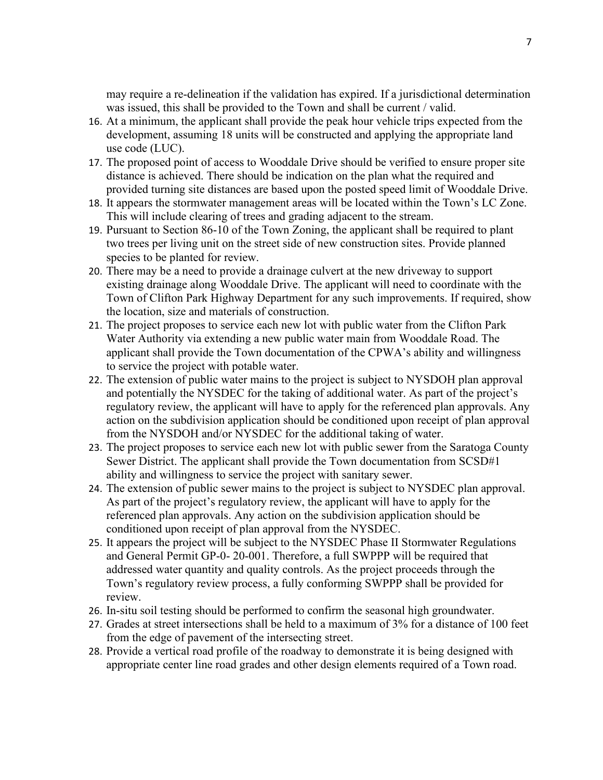may require a re-delineation if the validation has expired. If a jurisdictional determination was issued, this shall be provided to the Town and shall be current / valid.

- 16. At a minimum, the applicant shall provide the peak hour vehicle trips expected from the development, assuming 18 units will be constructed and applying the appropriate land use code (LUC).
- 17. The proposed point of access to Wooddale Drive should be verified to ensure proper site distance is achieved. There should be indication on the plan what the required and provided turning site distances are based upon the posted speed limit of Wooddale Drive.
- 18. It appears the stormwater management areas will be located within the Town's LC Zone. This will include clearing of trees and grading adjacent to the stream.
- 19. Pursuant to Section 86-10 of the Town Zoning, the applicant shall be required to plant two trees per living unit on the street side of new construction sites. Provide planned species to be planted for review.
- 20. There may be a need to provide a drainage culvert at the new driveway to support existing drainage along Wooddale Drive. The applicant will need to coordinate with the Town of Clifton Park Highway Department for any such improvements. If required, show the location, size and materials of construction.
- 21. The project proposes to service each new lot with public water from the Clifton Park Water Authority via extending a new public water main from Wooddale Road. The applicant shall provide the Town documentation of the CPWA's ability and willingness to service the project with potable water.
- 22. The extension of public water mains to the project is subject to NYSDOH plan approval and potentially the NYSDEC for the taking of additional water. As part of the project's regulatory review, the applicant will have to apply for the referenced plan approvals. Any action on the subdivision application should be conditioned upon receipt of plan approval from the NYSDOH and/or NYSDEC for the additional taking of water.
- 23. The project proposes to service each new lot with public sewer from the Saratoga County Sewer District. The applicant shall provide the Town documentation from SCSD#1 ability and willingness to service the project with sanitary sewer.
- 24. The extension of public sewer mains to the project is subject to NYSDEC plan approval. As part of the project's regulatory review, the applicant will have to apply for the referenced plan approvals. Any action on the subdivision application should be conditioned upon receipt of plan approval from the NYSDEC.
- 25. It appears the project will be subject to the NYSDEC Phase II Stormwater Regulations and General Permit GP-0- 20-001. Therefore, a full SWPPP will be required that addressed water quantity and quality controls. As the project proceeds through the Town's regulatory review process, a fully conforming SWPPP shall be provided for review.
- 26. In-situ soil testing should be performed to confirm the seasonal high groundwater.
- 27. Grades at street intersections shall be held to a maximum of 3% for a distance of 100 feet from the edge of pavement of the intersecting street.
- 28. Provide a vertical road profile of the roadway to demonstrate it is being designed with appropriate center line road grades and other design elements required of a Town road.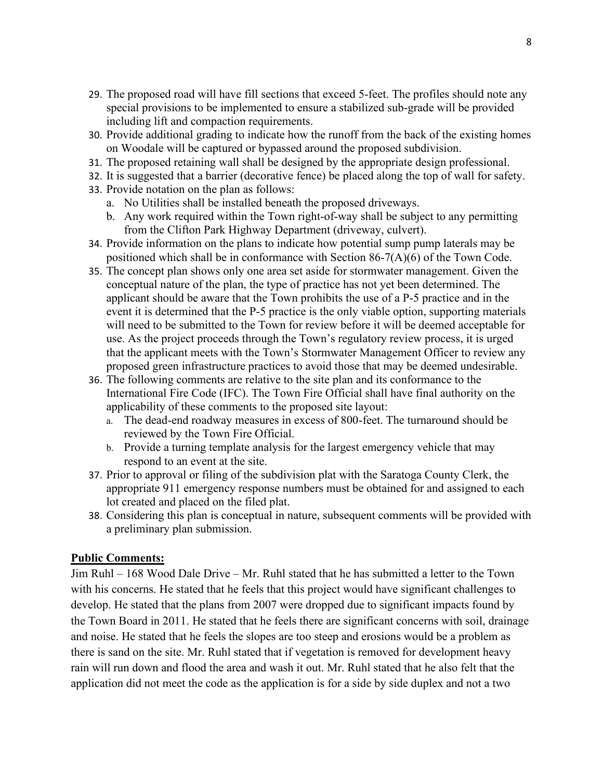- 29. The proposed road will have fill sections that exceed 5-feet. The profiles should note any special provisions to be implemented to ensure a stabilized sub-grade will be provided including lift and compaction requirements.
- 30. Provide additional grading to indicate how the runoff from the back of the existing homes on Woodale will be captured or bypassed around the proposed subdivision.
- 31. The proposed retaining wall shall be designed by the appropriate design professional.
- 32. It is suggested that a barrier (decorative fence) be placed along the top of wall for safety.
- 33. Provide notation on the plan as follows:
	- a. No Utilities shall be installed beneath the proposed driveways.
	- b. Any work required within the Town right-of-way shall be subject to any permitting from the Clifton Park Highway Department (driveway, culvert).
- 34. Provide information on the plans to indicate how potential sump pump laterals may be positioned which shall be in conformance with Section 86-7(A)(6) of the Town Code.
- 35. The concept plan shows only one area set aside for stormwater management. Given the conceptual nature of the plan, the type of practice has not yet been determined. The applicant should be aware that the Town prohibits the use of a P-5 practice and in the event it is determined that the P-5 practice is the only viable option, supporting materials will need to be submitted to the Town for review before it will be deemed acceptable for use. As the project proceeds through the Town's regulatory review process, it is urged that the applicant meets with the Town's Stormwater Management Officer to review any proposed green infrastructure practices to avoid those that may be deemed undesirable.
- 36. The following comments are relative to the site plan and its conformance to the International Fire Code (IFC). The Town Fire Official shall have final authority on the applicability of these comments to the proposed site layout:
	- a. The dead-end roadway measures in excess of 800-feet. The turnaround should be reviewed by the Town Fire Official.
	- b. Provide a turning template analysis for the largest emergency vehicle that may respond to an event at the site.
- 37. Prior to approval or filing of the subdivision plat with the Saratoga County Clerk, the appropriate 911 emergency response numbers must be obtained for and assigned to each lot created and placed on the filed plat.
- 38. Considering this plan is conceptual in nature, subsequent comments will be provided with a preliminary plan submission.

#### **Public Comments:**

Jim Ruhl – 168 Wood Dale Drive – Mr. Ruhl stated that he has submitted a letter to the Town with his concerns. He stated that he feels that this project would have significant challenges to develop. He stated that the plans from 2007 were dropped due to significant impacts found by the Town Board in 2011. He stated that he feels there are significant concerns with soil, drainage and noise. He stated that he feels the slopes are too steep and erosions would be a problem as there is sand on the site. Mr. Ruhl stated that if vegetation is removed for development heavy rain will run down and flood the area and wash it out. Mr. Ruhl stated that he also felt that the application did not meet the code as the application is for a side by side duplex and not a two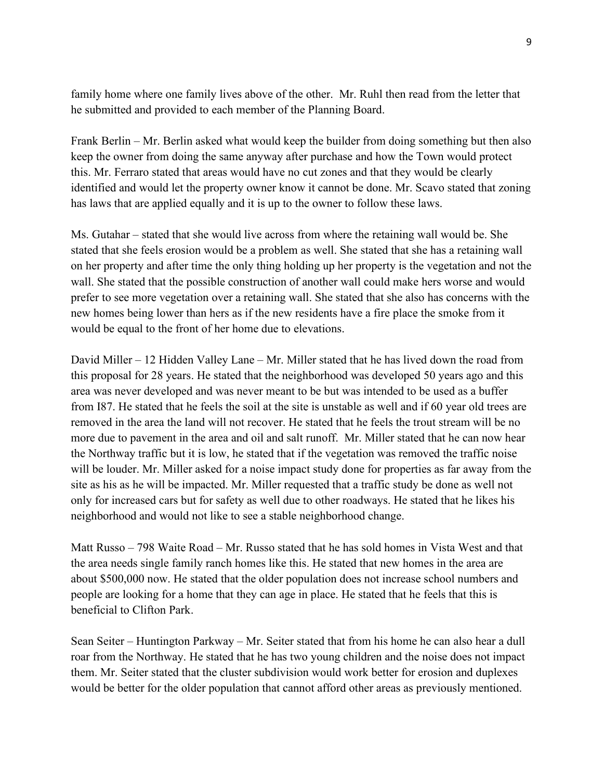family home where one family lives above of the other. Mr. Ruhl then read from the letter that he submitted and provided to each member of the Planning Board.

Frank Berlin – Mr. Berlin asked what would keep the builder from doing something but then also keep the owner from doing the same anyway after purchase and how the Town would protect this. Mr. Ferraro stated that areas would have no cut zones and that they would be clearly identified and would let the property owner know it cannot be done. Mr. Scavo stated that zoning has laws that are applied equally and it is up to the owner to follow these laws.

Ms. Gutahar – stated that she would live across from where the retaining wall would be. She stated that she feels erosion would be a problem as well. She stated that she has a retaining wall on her property and after time the only thing holding up her property is the vegetation and not the wall. She stated that the possible construction of another wall could make hers worse and would prefer to see more vegetation over a retaining wall. She stated that she also has concerns with the new homes being lower than hers as if the new residents have a fire place the smoke from it would be equal to the front of her home due to elevations.

David Miller – 12 Hidden Valley Lane – Mr. Miller stated that he has lived down the road from this proposal for 28 years. He stated that the neighborhood was developed 50 years ago and this area was never developed and was never meant to be but was intended to be used as a buffer from I87. He stated that he feels the soil at the site is unstable as well and if 60 year old trees are removed in the area the land will not recover. He stated that he feels the trout stream will be no more due to pavement in the area and oil and salt runoff. Mr. Miller stated that he can now hear the Northway traffic but it is low, he stated that if the vegetation was removed the traffic noise will be louder. Mr. Miller asked for a noise impact study done for properties as far away from the site as his as he will be impacted. Mr. Miller requested that a traffic study be done as well not only for increased cars but for safety as well due to other roadways. He stated that he likes his neighborhood and would not like to see a stable neighborhood change.

Matt Russo – 798 Waite Road – Mr. Russo stated that he has sold homes in Vista West and that the area needs single family ranch homes like this. He stated that new homes in the area are about \$500,000 now. He stated that the older population does not increase school numbers and people are looking for a home that they can age in place. He stated that he feels that this is beneficial to Clifton Park.

Sean Seiter – Huntington Parkway – Mr. Seiter stated that from his home he can also hear a dull roar from the Northway. He stated that he has two young children and the noise does not impact them. Mr. Seiter stated that the cluster subdivision would work better for erosion and duplexes would be better for the older population that cannot afford other areas as previously mentioned.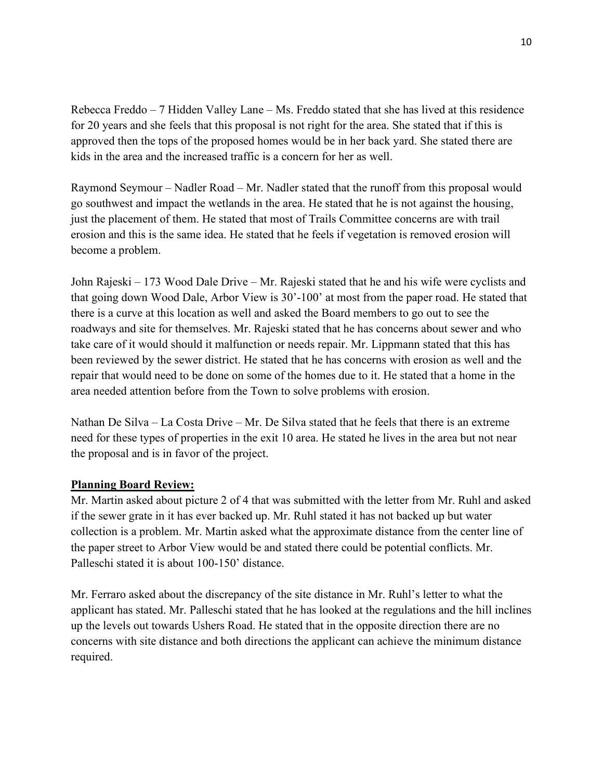Rebecca Freddo – 7 Hidden Valley Lane – Ms. Freddo stated that she has lived at this residence for 20 years and she feels that this proposal is not right for the area. She stated that if this is approved then the tops of the proposed homes would be in her back yard. She stated there are kids in the area and the increased traffic is a concern for her as well.

Raymond Seymour – Nadler Road – Mr. Nadler stated that the runoff from this proposal would go southwest and impact the wetlands in the area. He stated that he is not against the housing, just the placement of them. He stated that most of Trails Committee concerns are with trail erosion and this is the same idea. He stated that he feels if vegetation is removed erosion will become a problem.

John Rajeski – 173 Wood Dale Drive – Mr. Rajeski stated that he and his wife were cyclists and that going down Wood Dale, Arbor View is 30'-100' at most from the paper road. He stated that there is a curve at this location as well and asked the Board members to go out to see the roadways and site for themselves. Mr. Rajeski stated that he has concerns about sewer and who take care of it would should it malfunction or needs repair. Mr. Lippmann stated that this has been reviewed by the sewer district. He stated that he has concerns with erosion as well and the repair that would need to be done on some of the homes due to it. He stated that a home in the area needed attention before from the Town to solve problems with erosion.

Nathan De Silva – La Costa Drive – Mr. De Silva stated that he feels that there is an extreme need for these types of properties in the exit 10 area. He stated he lives in the area but not near the proposal and is in favor of the project.

## **Planning Board Review:**

Mr. Martin asked about picture 2 of 4 that was submitted with the letter from Mr. Ruhl and asked if the sewer grate in it has ever backed up. Mr. Ruhl stated it has not backed up but water collection is a problem. Mr. Martin asked what the approximate distance from the center line of the paper street to Arbor View would be and stated there could be potential conflicts. Mr. Palleschi stated it is about 100-150' distance.

Mr. Ferraro asked about the discrepancy of the site distance in Mr. Ruhl's letter to what the applicant has stated. Mr. Palleschi stated that he has looked at the regulations and the hill inclines up the levels out towards Ushers Road. He stated that in the opposite direction there are no concerns with site distance and both directions the applicant can achieve the minimum distance required.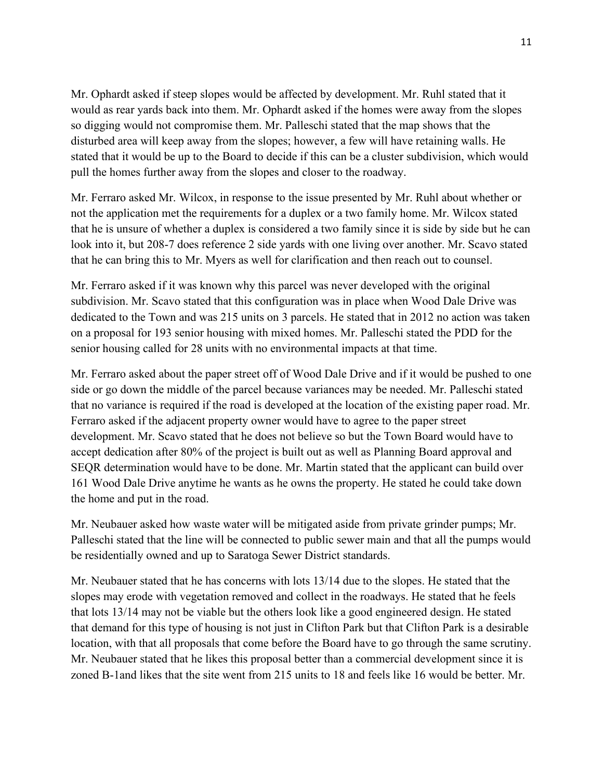Mr. Ophardt asked if steep slopes would be affected by development. Mr. Ruhl stated that it would as rear yards back into them. Mr. Ophardt asked if the homes were away from the slopes so digging would not compromise them. Mr. Palleschi stated that the map shows that the disturbed area will keep away from the slopes; however, a few will have retaining walls. He stated that it would be up to the Board to decide if this can be a cluster subdivision, which would pull the homes further away from the slopes and closer to the roadway.

Mr. Ferraro asked Mr. Wilcox, in response to the issue presented by Mr. Ruhl about whether or not the application met the requirements for a duplex or a two family home. Mr. Wilcox stated that he is unsure of whether a duplex is considered a two family since it is side by side but he can look into it, but 208-7 does reference 2 side yards with one living over another. Mr. Scavo stated that he can bring this to Mr. Myers as well for clarification and then reach out to counsel.

Mr. Ferraro asked if it was known why this parcel was never developed with the original subdivision. Mr. Scavo stated that this configuration was in place when Wood Dale Drive was dedicated to the Town and was 215 units on 3 parcels. He stated that in 2012 no action was taken on a proposal for 193 senior housing with mixed homes. Mr. Palleschi stated the PDD for the senior housing called for 28 units with no environmental impacts at that time.

Mr. Ferraro asked about the paper street off of Wood Dale Drive and if it would be pushed to one side or go down the middle of the parcel because variances may be needed. Mr. Palleschi stated that no variance is required if the road is developed at the location of the existing paper road. Mr. Ferraro asked if the adjacent property owner would have to agree to the paper street development. Mr. Scavo stated that he does not believe so but the Town Board would have to accept dedication after 80% of the project is built out as well as Planning Board approval and SEQR determination would have to be done. Mr. Martin stated that the applicant can build over 161 Wood Dale Drive anytime he wants as he owns the property. He stated he could take down the home and put in the road.

Mr. Neubauer asked how waste water will be mitigated aside from private grinder pumps; Mr. Palleschi stated that the line will be connected to public sewer main and that all the pumps would be residentially owned and up to Saratoga Sewer District standards.

Mr. Neubauer stated that he has concerns with lots 13/14 due to the slopes. He stated that the slopes may erode with vegetation removed and collect in the roadways. He stated that he feels that lots 13/14 may not be viable but the others look like a good engineered design. He stated that demand for this type of housing is not just in Clifton Park but that Clifton Park is a desirable location, with that all proposals that come before the Board have to go through the same scrutiny. Mr. Neubauer stated that he likes this proposal better than a commercial development since it is zoned B-1and likes that the site went from 215 units to 18 and feels like 16 would be better. Mr.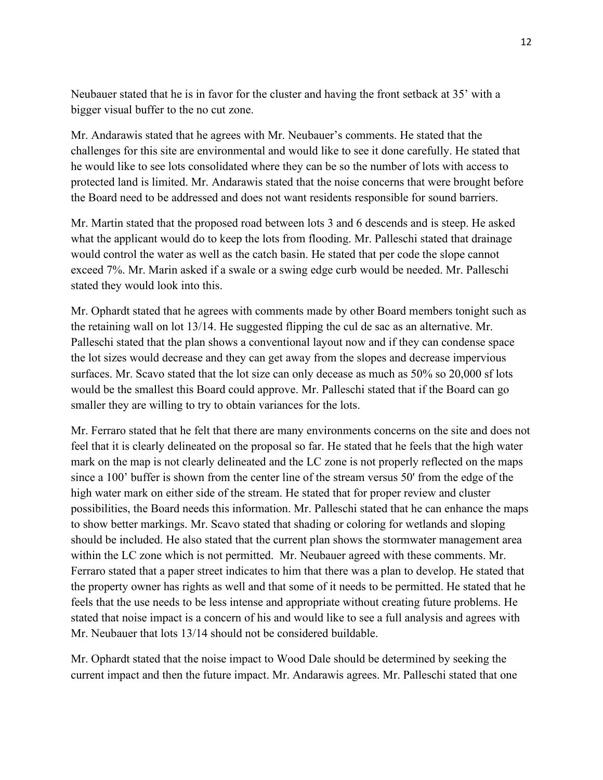Neubauer stated that he is in favor for the cluster and having the front setback at 35' with a bigger visual buffer to the no cut zone.

Mr. Andarawis stated that he agrees with Mr. Neubauer's comments. He stated that the challenges for this site are environmental and would like to see it done carefully. He stated that he would like to see lots consolidated where they can be so the number of lots with access to protected land is limited. Mr. Andarawis stated that the noise concerns that were brought before the Board need to be addressed and does not want residents responsible for sound barriers.

Mr. Martin stated that the proposed road between lots 3 and 6 descends and is steep. He asked what the applicant would do to keep the lots from flooding. Mr. Palleschi stated that drainage would control the water as well as the catch basin. He stated that per code the slope cannot exceed 7%. Mr. Marin asked if a swale or a swing edge curb would be needed. Mr. Palleschi stated they would look into this.

Mr. Ophardt stated that he agrees with comments made by other Board members tonight such as the retaining wall on lot 13/14. He suggested flipping the cul de sac as an alternative. Mr. Palleschi stated that the plan shows a conventional layout now and if they can condense space the lot sizes would decrease and they can get away from the slopes and decrease impervious surfaces. Mr. Scavo stated that the lot size can only decease as much as 50% so 20,000 sf lots would be the smallest this Board could approve. Mr. Palleschi stated that if the Board can go smaller they are willing to try to obtain variances for the lots.

Mr. Ferraro stated that he felt that there are many environments concerns on the site and does not feel that it is clearly delineated on the proposal so far. He stated that he feels that the high water mark on the map is not clearly delineated and the LC zone is not properly reflected on the maps since a 100' buffer is shown from the center line of the stream versus 50' from the edge of the high water mark on either side of the stream. He stated that for proper review and cluster possibilities, the Board needs this information. Mr. Palleschi stated that he can enhance the maps to show better markings. Mr. Scavo stated that shading or coloring for wetlands and sloping should be included. He also stated that the current plan shows the stormwater management area within the LC zone which is not permitted. Mr. Neubauer agreed with these comments. Mr. Ferraro stated that a paper street indicates to him that there was a plan to develop. He stated that the property owner has rights as well and that some of it needs to be permitted. He stated that he feels that the use needs to be less intense and appropriate without creating future problems. He stated that noise impact is a concern of his and would like to see a full analysis and agrees with Mr. Neubauer that lots 13/14 should not be considered buildable.

Mr. Ophardt stated that the noise impact to Wood Dale should be determined by seeking the current impact and then the future impact. Mr. Andarawis agrees. Mr. Palleschi stated that one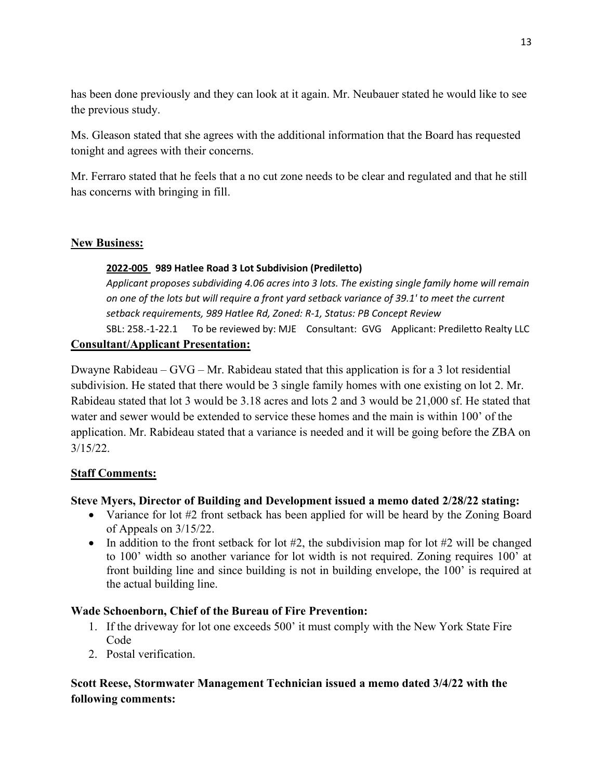has been done previously and they can look at it again. Mr. Neubauer stated he would like to see the previous study.

Ms. Gleason stated that she agrees with the additional information that the Board has requested tonight and agrees with their concerns.

Mr. Ferraro stated that he feels that a no cut zone needs to be clear and regulated and that he still has concerns with bringing in fill.

### **New Business:**

#### **2022-005 989 Hatlee Road 3 Lot Subdivision (Prediletto)**

*Applicant proposes subdividing 4.06 acres into 3 lots. The existing single family home will remain on one of the lots but will require a front yard setback variance of 39.1' to meet the current setback requirements, 989 Hatlee Rd, Zoned: R-1, Status: PB Concept Review*  SBL: 258.-1-22.1To be reviewed by: MJE Consultant: GVG Applicant: Prediletto Realty LLC

## **Consultant/Applicant Presentation:**

Dwayne Rabideau –  $GVG - Mr$ . Rabideau stated that this application is for a 3 lot residential subdivision. He stated that there would be 3 single family homes with one existing on lot 2. Mr. Rabideau stated that lot 3 would be 3.18 acres and lots 2 and 3 would be 21,000 sf. He stated that water and sewer would be extended to service these homes and the main is within 100' of the application. Mr. Rabideau stated that a variance is needed and it will be going before the ZBA on 3/15/22.

## **Staff Comments:**

## **Steve Myers, Director of Building and Development issued a memo dated 2/28/22 stating:**

- Variance for lot #2 front setback has been applied for will be heard by the Zoning Board of Appeals on 3/15/22.
- In addition to the front setback for lot  $#2$ , the subdivision map for lot  $#2$  will be changed to 100' width so another variance for lot width is not required. Zoning requires 100' at front building line and since building is not in building envelope, the 100' is required at the actual building line.

## **Wade Schoenborn, Chief of the Bureau of Fire Prevention:**

- 1. If the driveway for lot one exceeds 500' it must comply with the New York State Fire Code
- 2. Postal verification.

# **Scott Reese, Stormwater Management Technician issued a memo dated 3/4/22 with the following comments:**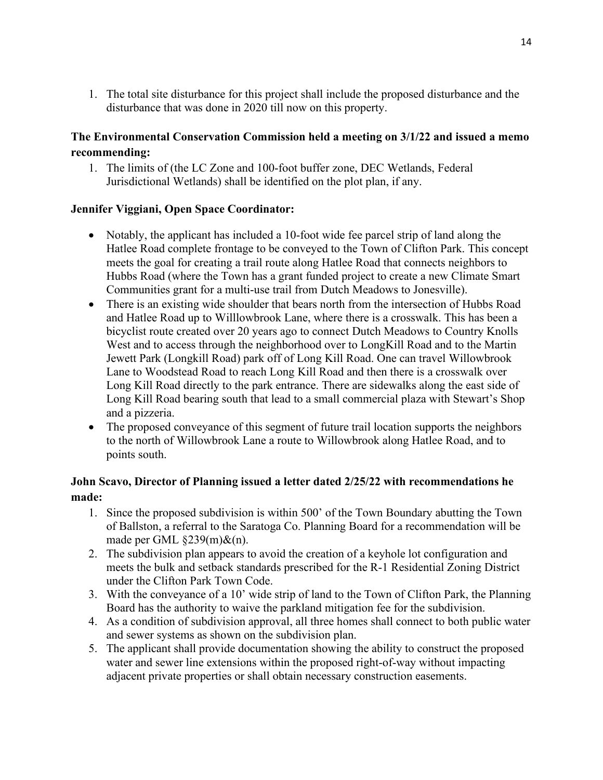1. The total site disturbance for this project shall include the proposed disturbance and the disturbance that was done in 2020 till now on this property.

## **The Environmental Conservation Commission held a meeting on 3/1/22 and issued a memo recommending:**

1. The limits of (the LC Zone and 100-foot buffer zone, DEC Wetlands, Federal Jurisdictional Wetlands) shall be identified on the plot plan, if any.

## **Jennifer Viggiani, Open Space Coordinator:**

- Notably, the applicant has included a 10-foot wide fee parcel strip of land along the Hatlee Road complete frontage to be conveyed to the Town of Clifton Park. This concept meets the goal for creating a trail route along Hatlee Road that connects neighbors to Hubbs Road (where the Town has a grant funded project to create a new Climate Smart Communities grant for a multi-use trail from Dutch Meadows to Jonesville).
- There is an existing wide shoulder that bears north from the intersection of Hubbs Road and Hatlee Road up to Willlowbrook Lane, where there is a crosswalk. This has been a bicyclist route created over 20 years ago to connect Dutch Meadows to Country Knolls West and to access through the neighborhood over to LongKill Road and to the Martin Jewett Park (Longkill Road) park off of Long Kill Road. One can travel Willowbrook Lane to Woodstead Road to reach Long Kill Road and then there is a crosswalk over Long Kill Road directly to the park entrance. There are sidewalks along the east side of Long Kill Road bearing south that lead to a small commercial plaza with Stewart's Shop and a pizzeria.
- The proposed conveyance of this segment of future trail location supports the neighbors to the north of Willowbrook Lane a route to Willowbrook along Hatlee Road, and to points south.

## **John Scavo, Director of Planning issued a letter dated 2/25/22 with recommendations he made:**

- 1. Since the proposed subdivision is within 500' of the Town Boundary abutting the Town of Ballston, a referral to the Saratoga Co. Planning Board for a recommendation will be made per GML §239(m)&(n).
- 2. The subdivision plan appears to avoid the creation of a keyhole lot configuration and meets the bulk and setback standards prescribed for the R-1 Residential Zoning District under the Clifton Park Town Code.
- 3. With the conveyance of a 10' wide strip of land to the Town of Clifton Park, the Planning Board has the authority to waive the parkland mitigation fee for the subdivision.
- 4. As a condition of subdivision approval, all three homes shall connect to both public water and sewer systems as shown on the subdivision plan.
- 5. The applicant shall provide documentation showing the ability to construct the proposed water and sewer line extensions within the proposed right-of-way without impacting adjacent private properties or shall obtain necessary construction easements.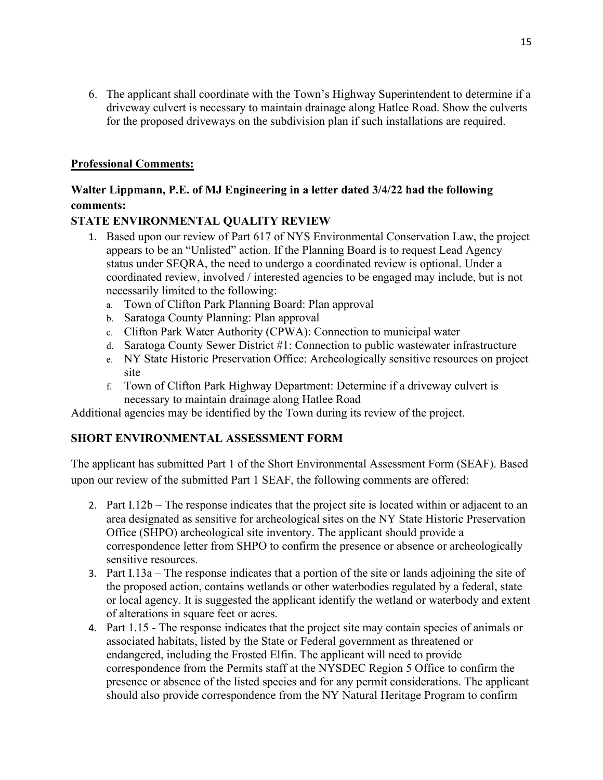6. The applicant shall coordinate with the Town's Highway Superintendent to determine if a driveway culvert is necessary to maintain drainage along Hatlee Road. Show the culverts for the proposed driveways on the subdivision plan if such installations are required.

### **Professional Comments:**

# **Walter Lippmann, P.E. of MJ Engineering in a letter dated 3/4/22 had the following comments:**

### **STATE ENVIRONMENTAL QUALITY REVIEW**

- 1. Based upon our review of Part 617 of NYS Environmental Conservation Law, the project appears to be an "Unlisted" action. If the Planning Board is to request Lead Agency status under SEQRA, the need to undergo a coordinated review is optional. Under a coordinated review, involved / interested agencies to be engaged may include, but is not necessarily limited to the following:
	- a. Town of Clifton Park Planning Board: Plan approval
	- b. Saratoga County Planning: Plan approval
	- c. Clifton Park Water Authority (CPWA): Connection to municipal water
	- d. Saratoga County Sewer District #1: Connection to public wastewater infrastructure
	- e. NY State Historic Preservation Office: Archeologically sensitive resources on project site
	- f. Town of Clifton Park Highway Department: Determine if a driveway culvert is necessary to maintain drainage along Hatlee Road

Additional agencies may be identified by the Town during its review of the project.

## **SHORT ENVIRONMENTAL ASSESSMENT FORM**

The applicant has submitted Part 1 of the Short Environmental Assessment Form (SEAF). Based upon our review of the submitted Part 1 SEAF, the following comments are offered:

- 2. Part I.12b The response indicates that the project site is located within or adjacent to an area designated as sensitive for archeological sites on the NY State Historic Preservation Office (SHPO) archeological site inventory. The applicant should provide a correspondence letter from SHPO to confirm the presence or absence or archeologically sensitive resources.
- 3. Part I.13a The response indicates that a portion of the site or lands adjoining the site of the proposed action, contains wetlands or other waterbodies regulated by a federal, state or local agency. It is suggested the applicant identify the wetland or waterbody and extent of alterations in square feet or acres.
- 4. Part 1.15 The response indicates that the project site may contain species of animals or associated habitats, listed by the State or Federal government as threatened or endangered, including the Frosted Elfin. The applicant will need to provide correspondence from the Permits staff at the NYSDEC Region 5 Office to confirm the presence or absence of the listed species and for any permit considerations. The applicant should also provide correspondence from the NY Natural Heritage Program to confirm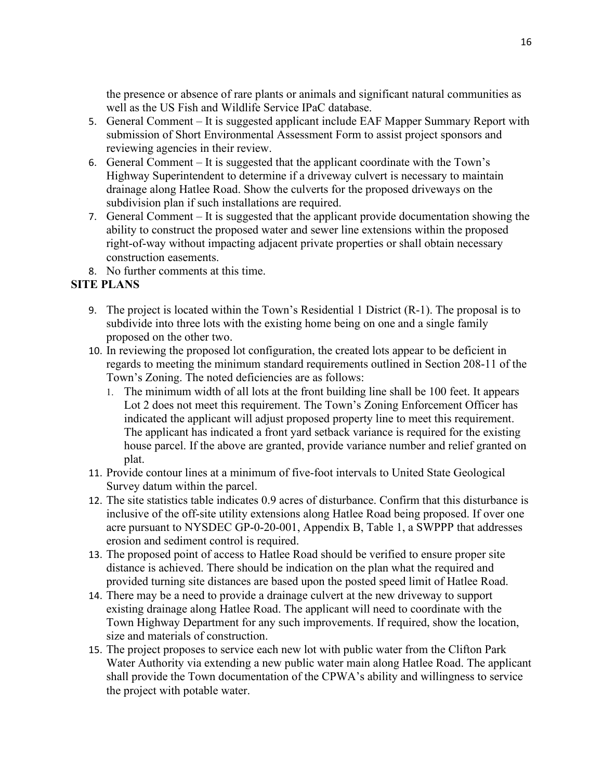the presence or absence of rare plants or animals and significant natural communities as well as the US Fish and Wildlife Service IPaC database.

- 5. General Comment It is suggested applicant include EAF Mapper Summary Report with submission of Short Environmental Assessment Form to assist project sponsors and reviewing agencies in their review.
- 6. General Comment It is suggested that the applicant coordinate with the Town's Highway Superintendent to determine if a driveway culvert is necessary to maintain drainage along Hatlee Road. Show the culverts for the proposed driveways on the subdivision plan if such installations are required.
- 7. General Comment It is suggested that the applicant provide documentation showing the ability to construct the proposed water and sewer line extensions within the proposed right-of-way without impacting adjacent private properties or shall obtain necessary construction easements.
- 8. No further comments at this time.

# **SITE PLANS**

- 9. The project is located within the Town's Residential 1 District (R-1). The proposal is to subdivide into three lots with the existing home being on one and a single family proposed on the other two.
- 10. In reviewing the proposed lot configuration, the created lots appear to be deficient in regards to meeting the minimum standard requirements outlined in Section 208-11 of the Town's Zoning. The noted deficiencies are as follows:
	- 1. The minimum width of all lots at the front building line shall be 100 feet. It appears Lot 2 does not meet this requirement. The Town's Zoning Enforcement Officer has indicated the applicant will adjust proposed property line to meet this requirement. The applicant has indicated a front yard setback variance is required for the existing house parcel. If the above are granted, provide variance number and relief granted on plat.
- 11. Provide contour lines at a minimum of five-foot intervals to United State Geological Survey datum within the parcel.
- 12. The site statistics table indicates 0.9 acres of disturbance. Confirm that this disturbance is inclusive of the off-site utility extensions along Hatlee Road being proposed. If over one acre pursuant to NYSDEC GP-0-20-001, Appendix B, Table 1, a SWPPP that addresses erosion and sediment control is required.
- 13. The proposed point of access to Hatlee Road should be verified to ensure proper site distance is achieved. There should be indication on the plan what the required and provided turning site distances are based upon the posted speed limit of Hatlee Road.
- 14. There may be a need to provide a drainage culvert at the new driveway to support existing drainage along Hatlee Road. The applicant will need to coordinate with the Town Highway Department for any such improvements. If required, show the location, size and materials of construction.
- 15. The project proposes to service each new lot with public water from the Clifton Park Water Authority via extending a new public water main along Hatlee Road. The applicant shall provide the Town documentation of the CPWA's ability and willingness to service the project with potable water.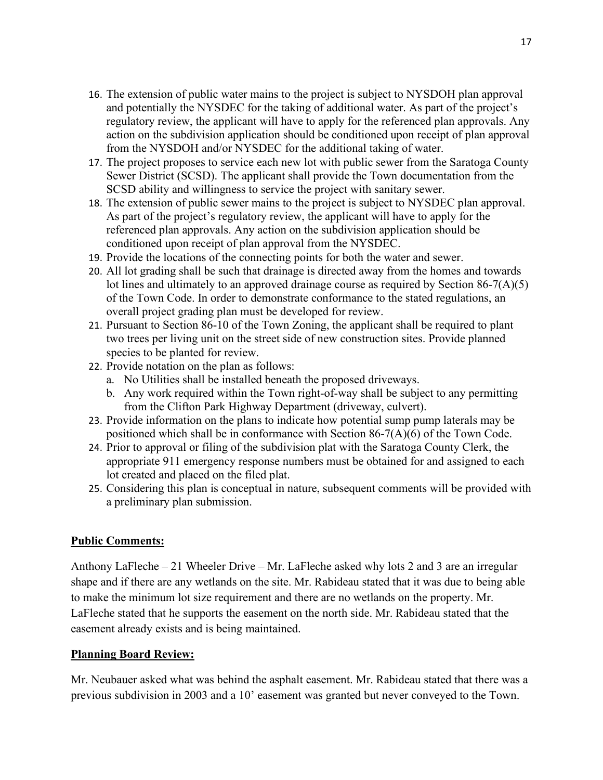- 16. The extension of public water mains to the project is subject to NYSDOH plan approval and potentially the NYSDEC for the taking of additional water. As part of the project's regulatory review, the applicant will have to apply for the referenced plan approvals. Any action on the subdivision application should be conditioned upon receipt of plan approval from the NYSDOH and/or NYSDEC for the additional taking of water.
- 17. The project proposes to service each new lot with public sewer from the Saratoga County Sewer District (SCSD). The applicant shall provide the Town documentation from the SCSD ability and willingness to service the project with sanitary sewer.
- 18. The extension of public sewer mains to the project is subject to NYSDEC plan approval. As part of the project's regulatory review, the applicant will have to apply for the referenced plan approvals. Any action on the subdivision application should be conditioned upon receipt of plan approval from the NYSDEC.
- 19. Provide the locations of the connecting points for both the water and sewer.
- 20. All lot grading shall be such that drainage is directed away from the homes and towards lot lines and ultimately to an approved drainage course as required by Section 86-7(A)(5) of the Town Code. In order to demonstrate conformance to the stated regulations, an overall project grading plan must be developed for review.
- 21. Pursuant to Section 86-10 of the Town Zoning, the applicant shall be required to plant two trees per living unit on the street side of new construction sites. Provide planned species to be planted for review.
- 22. Provide notation on the plan as follows:
	- a. No Utilities shall be installed beneath the proposed driveways.
	- b. Any work required within the Town right-of-way shall be subject to any permitting from the Clifton Park Highway Department (driveway, culvert).
- 23. Provide information on the plans to indicate how potential sump pump laterals may be positioned which shall be in conformance with Section 86-7(A)(6) of the Town Code.
- 24. Prior to approval or filing of the subdivision plat with the Saratoga County Clerk, the appropriate 911 emergency response numbers must be obtained for and assigned to each lot created and placed on the filed plat.
- 25. Considering this plan is conceptual in nature, subsequent comments will be provided with a preliminary plan submission.

#### **Public Comments:**

Anthony LaFleche – 21 Wheeler Drive – Mr. LaFleche asked why lots 2 and 3 are an irregular shape and if there are any wetlands on the site. Mr. Rabideau stated that it was due to being able to make the minimum lot size requirement and there are no wetlands on the property. Mr. LaFleche stated that he supports the easement on the north side. Mr. Rabideau stated that the easement already exists and is being maintained.

#### **Planning Board Review:**

Mr. Neubauer asked what was behind the asphalt easement. Mr. Rabideau stated that there was a previous subdivision in 2003 and a 10' easement was granted but never conveyed to the Town.